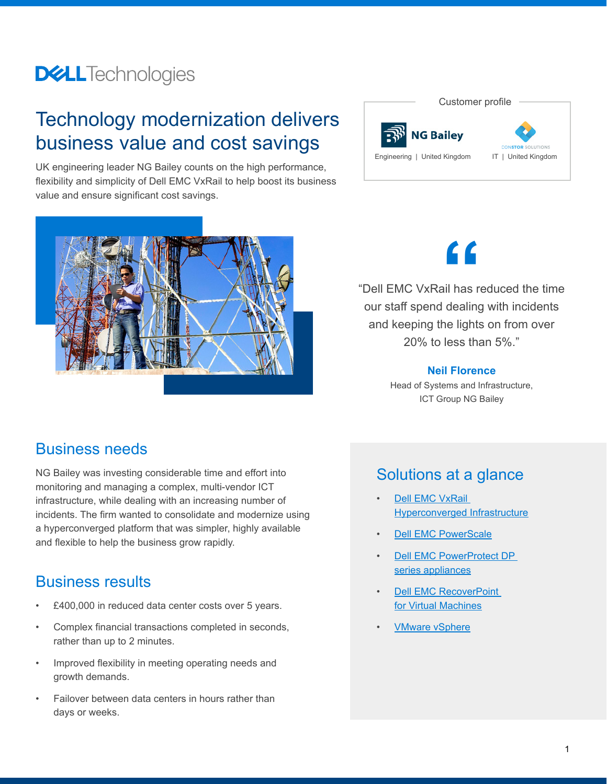## **DELL**Technologies

## Technology modernization delivers business value and cost savings

UK engineering leader NG Bailey counts on the high performance, flexibility and simplicity of Dell EMC VxRail to help boost its business value and ensure significant cost savings.





# **"**

"Dell EMC VxRail has reduced the time our staff spend dealing with incidents and keeping the lights on from over 20% to less than 5%."

#### **Neil Florence**

Head of Systems and Infrastructure, ICT Group NG Bailey

### Business needs

NG Bailey was investing considerable time and effort into monitoring and managing a complex, multi-vendor ICT infrastructure, while dealing with an increasing number of incidents. The firm wanted to consolidate and modernize using a hyperconverged platform that was simpler, highly available and flexible to help the business grow rapidly.

## Business results

- £400,000 in reduced data center costs over 5 years.
- Complex financial transactions completed in seconds, rather than up to 2 minutes.
- Improved flexibility in meeting operating needs and growth demands.
- Failover between data centers in hours rather than days or weeks.

## Solutions at a glance

- **Dell EMC VxRail** [Hyperconverged Infrastructure](https://www.delltechnologies.com/en-us/converged-infrastructure/vxrail/index.htm)
- **[Dell EMC PowerScale](https://www.delltechnologies.com/en-us/storage/powerscale.htm)**
- **Dell EMC PowerProtect DP** [series appliances](https://www.delltechnologies.com/en-us/data-protection/powerprotect-backup-appliances/powerprotect-dp-backup-appliances.htm)
- **Dell EMC RecoverPoint** [for Virtual Machines](https://www.delltechnologies.com/en-us/data-protection/data-protection-suite/recoverpoint-for-virtual-machines-data-protection-software.htm)
- **[VMware vSphere](https://www.vmware.com/products/vsphere.html)**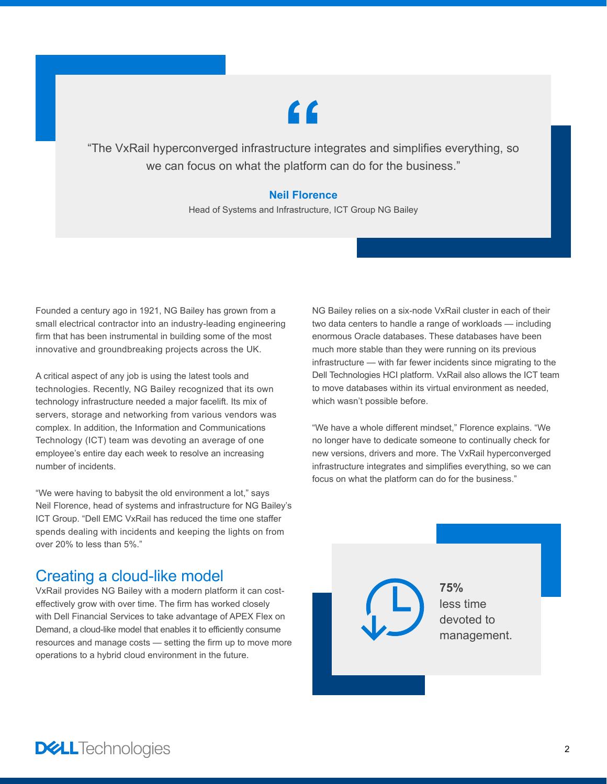# **"**

"The VxRail hyperconverged infrastructure integrates and simplifies everything, so we can focus on what the platform can do for the business."

#### **Neil Florence**

Head of Systems and Infrastructure, ICT Group NG Bailey

Founded a century ago in 1921, NG Bailey has grown from a small electrical contractor into an industry-leading engineering firm that has been instrumental in building some of the most innovative and groundbreaking projects across the UK.

A critical aspect of any job is using the latest tools and technologies. Recently, NG Bailey recognized that its own technology infrastructure needed a major facelift. Its mix of servers, storage and networking from various vendors was complex. In addition, the Information and Communications Technology (ICT) team was devoting an average of one employee's entire day each week to resolve an increasing number of incidents.

"We were having to babysit the old environment a lot," says Neil Florence, head of systems and infrastructure for NG Bailey's ICT Group. "Dell EMC VxRail has reduced the time one staffer spends dealing with incidents and keeping the lights on from over 20% to less than 5%."

## Creating a cloud-like model

VxRail provides NG Bailey with a modern platform it can costeffectively grow with over time. The firm has worked closely with Dell Financial Services to take advantage of APEX Flex on Demand, a cloud-like model that enables it to efficiently consume resources and manage costs — setting the firm up to move more operations to a hybrid cloud environment in the future.

NG Bailey relies on a six-node VxRail cluster in each of their two data centers to handle a range of workloads — including enormous Oracle databases. These databases have been much more stable than they were running on its previous infrastructure — with far fewer incidents since migrating to the Dell Technologies HCI platform. VxRail also allows the ICT team to move databases within its virtual environment as needed, which wasn't possible before.

"We have a whole different mindset," Florence explains. "We no longer have to dedicate someone to continually check for new versions, drivers and more. The VxRail hyperconverged infrastructure integrates and simplifies everything, so we can focus on what the platform can do for the business."

> **75%** less time devoted to management.